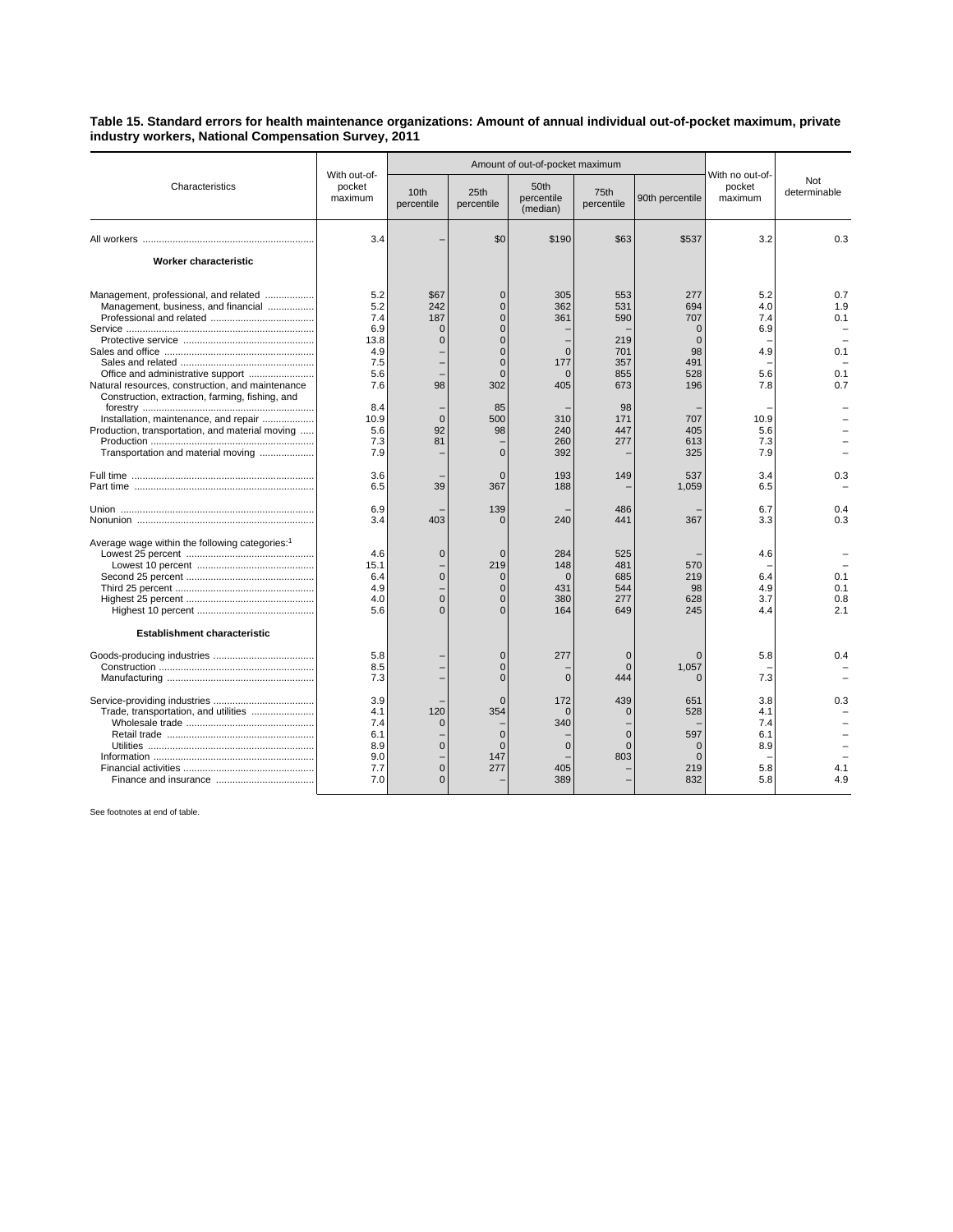## **Table 15. Standard errors for health maintenance organizations: Amount of annual individual out-of-pocket maximum, private industry workers, National Compensation Survey, 2011**

| Characteristics                                                                                                                                                                                                                                                                 | With out-of-<br>pocket<br>maximum                                                         | Amount of out-of-pocket maximum                                                |                                                                                                                                    |                                                                              |                                                                                 |                                                                                           | With no out-of-                                                     |                                        |
|---------------------------------------------------------------------------------------------------------------------------------------------------------------------------------------------------------------------------------------------------------------------------------|-------------------------------------------------------------------------------------------|--------------------------------------------------------------------------------|------------------------------------------------------------------------------------------------------------------------------------|------------------------------------------------------------------------------|---------------------------------------------------------------------------------|-------------------------------------------------------------------------------------------|---------------------------------------------------------------------|----------------------------------------|
|                                                                                                                                                                                                                                                                                 |                                                                                           | 10 <sub>th</sub><br>percentile                                                 | 25th<br>percentile                                                                                                                 | 50th<br>percentile<br>(median)                                               | 75th<br>percentile                                                              | 90th percentile                                                                           | pocket<br>maximum                                                   | Not<br>determinable                    |
|                                                                                                                                                                                                                                                                                 | 3.4                                                                                       |                                                                                | \$0                                                                                                                                | \$190                                                                        | \$63                                                                            | \$537                                                                                     | 3.2                                                                 | 0.3                                    |
| Worker characteristic                                                                                                                                                                                                                                                           |                                                                                           |                                                                                |                                                                                                                                    |                                                                              |                                                                                 |                                                                                           |                                                                     |                                        |
| Management, professional, and related<br>Management, business, and financial<br>Natural resources, construction, and maintenance<br>Construction, extraction, farming, fishing, and<br>Installation, maintenance, and repair<br>Production, transportation, and material moving | 5.2<br>5.2<br>7.4<br>6.9<br>13.8<br>4.9<br>7.5<br>5.6<br>7.6<br>8.4<br>10.9<br>5.6<br>7.3 | \$67<br>242<br>187<br>$\Omega$<br>$\Omega$<br>98<br>$\overline{0}$<br>92<br>81 | $\Omega$<br>$\overline{0}$<br>$\Omega$<br>$\Omega$<br>$\Omega$<br>$\Omega$<br>$\overline{0}$<br>$\Omega$<br>302<br>85<br>500<br>98 | 305<br>362<br>361<br>$\Omega$<br>177<br>$\Omega$<br>405<br>310<br>240<br>260 | 553<br>531<br>590<br>219<br>701<br>357<br>855<br>673<br>98<br>171<br>447<br>277 | 277<br>694<br>707<br>$\Omega$<br>$\Omega$<br>98<br>491<br>528<br>196<br>707<br>405<br>613 | 5.2<br>4.0<br>7.4<br>6.9<br>4.9<br>5.6<br>7.8<br>10.9<br>5.6<br>7.3 | 0.7<br>1.9<br>0.1<br>0.1<br>0.1<br>0.7 |
| Transportation and material moving                                                                                                                                                                                                                                              | 7.9<br>3.6<br>6.5                                                                         | 39                                                                             | $\Omega$<br>$\Omega$<br>367                                                                                                        | 392<br>193<br>188                                                            | 149                                                                             | 325<br>537<br>1,059                                                                       | 7.9<br>3.4<br>6.5                                                   | 0.3                                    |
|                                                                                                                                                                                                                                                                                 | 6.9<br>3.4                                                                                | 403                                                                            | 139<br>$\Omega$                                                                                                                    | 240                                                                          | 486<br>441                                                                      | 367                                                                                       | 6.7<br>3.3                                                          | 0.4<br>0.3                             |
| Average wage within the following categories: <sup>1</sup><br><b>Establishment characteristic</b>                                                                                                                                                                               | 4.6<br>15.1<br>6.4<br>4.9<br>4.0<br>5.6                                                   | $\mathbf{0}$<br>$\Omega$<br>$\Omega$<br>$\Omega$                               | $\Omega$<br>219<br>$\Omega$<br>$\overline{0}$<br>$\Omega$<br>$\Omega$                                                              | 284<br>148<br>$\mathbf{0}$<br>431<br>380<br>164                              | 525<br>481<br>685<br>544<br>277<br>649                                          | 570<br>219<br>98<br>628<br>245                                                            | 4.6<br>6.4<br>4.9<br>3.7<br>4.4                                     | 0.1<br>0.1<br>0.8<br>2.1               |
|                                                                                                                                                                                                                                                                                 | 5.8<br>8.5<br>7.3                                                                         |                                                                                | $\Omega$<br>$\Omega$<br>$\Omega$                                                                                                   | 277<br>$\mathbf 0$                                                           | $\Omega$<br>0<br>444                                                            | ∩<br>1.057<br>n                                                                           | 5.8<br>7.3                                                          | 0.4                                    |
|                                                                                                                                                                                                                                                                                 | 3.9<br>4.1<br>7.4<br>6.1<br>8.9<br>9.0<br>7.7<br>7.0                                      | 120<br>$\Omega$<br>$\Omega$<br>$\mathbf{0}$<br>$\Omega$                        | $\Omega$<br>354<br>$\Omega$<br>$\Omega$<br>147<br>277                                                                              | 172<br>$\mathbf{0}$<br>340<br>$\Omega$<br>405<br>389                         | 439<br>0<br>$\Omega$<br>$\Omega$<br>803                                         | 651<br>528<br>597<br>$\Omega$<br>$\Omega$<br>219<br>832                                   | 3.8<br>4.1<br>7.4<br>6.1<br>8.9<br>5.8<br>5.8                       | 0.3<br>4.1<br>4.9                      |

See footnotes at end of table.